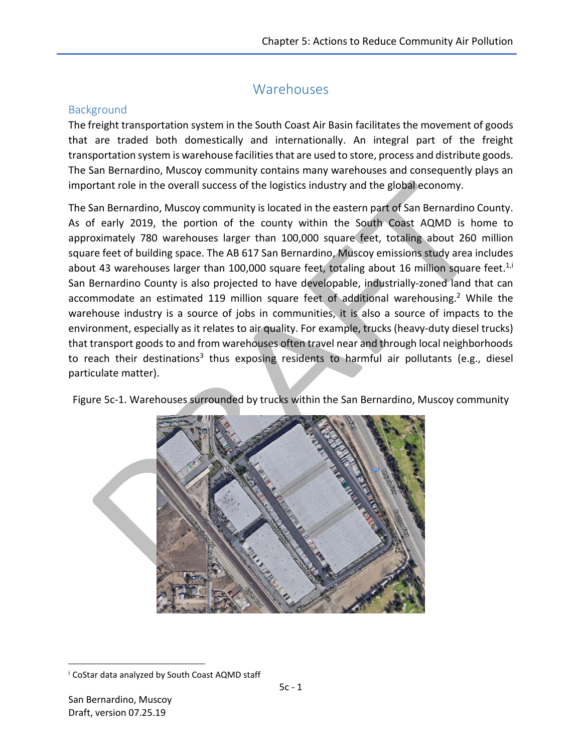# Warehouses

### **Background**

The freight transportation system in the South Coast Air Basin facilitates the movement of goods that are traded both domestically and internationally. An integral part of the freight transportation system is warehouse facilities that are used to store, process and distribute goods. The San Bernardino, Muscoy community contains many warehouses and consequently plays an important role in the overall success of the logistics industry and the global economy.

The San Bernardino, Muscoy community is located in the eastern part of San Bernardino County. As of early 2019, the portion of the county within the South Coast AQMD is home to approximately 780 warehouses larger than 100,000 square feet, totaling about 260 million square feet of building space. The AB 617 San Bernardino, Muscoy emissions study area includes about 43 warehouses larger than 100,000 square feet, totaling about 16 million square feet.<sup>1,i</sup> San Bernardino County is also projected to have developable, industrially-zoned land that can accommodate an estimated 119 million square feet of additional warehousing.<sup>2</sup> While the warehouse industry is a source of jobs in communities, it is also a source of impacts to the environment, especially as it relates to air quality. For example, trucks (heavy-duty diesel trucks) that transport goods to and from warehouses often travel near and through local neighborhoods to reach their destinations<sup>3</sup> thus exposing residents to harmful air pollutants (e.g., diesel particulate matter).



Figure 5c-1. Warehouses surrounded by trucks within the San Bernardino, Muscoy community

 $\overline{\phantom{a}}$ 

<sup>&</sup>lt;sup>i</sup> CoStar data analyzed by South Coast AQMD staff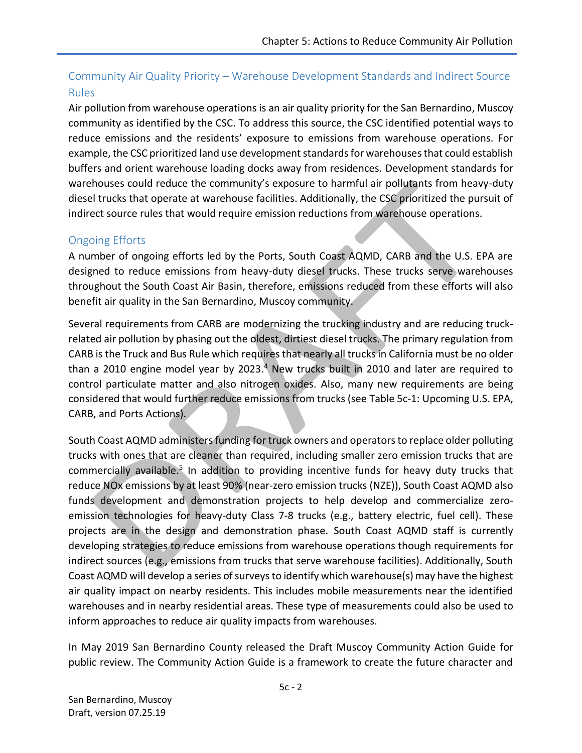## Community Air Quality Priority – Warehouse Development Standards and Indirect Source Rules

Air pollution from warehouse operations is an air quality priority for the San Bernardino, Muscoy community as identified by the CSC. To address this source, the CSC identified potential ways to reduce emissions and the residents' exposure to emissions from warehouse operations. For example, the CSC prioritized land use development standards for warehousesthat could establish buffers and orient warehouse loading docks away from residences. Development standards for warehouses could reduce the community's exposure to harmful air pollutants from heavy-duty diesel trucks that operate at warehouse facilities. Additionally, the CSC prioritized the pursuit of indirect source rules that would require emission reductions from warehouse operations.

### Ongoing Efforts

A number of ongoing efforts led by the Ports, South Coast AQMD, CARB and the U.S. EPA are designed to reduce emissions from heavy-duty diesel trucks. These trucks serve warehouses throughout the South Coast Air Basin, therefore, emissions reduced from these efforts will also benefit air quality in the San Bernardino, Muscoy community.

Several requirements from CARB are modernizing the trucking industry and are reducing truckrelated air pollution by phasing out the oldest, dirtiest diesel trucks. The primary regulation from CARB is the Truck and Bus Rule which requires that nearly all trucks in California must be no older than a 2010 engine model year by 2023.<sup>4</sup> New trucks built in 2010 and later are required to control particulate matter and also nitrogen oxides. Also, many new requirements are being considered that would further reduce emissions from trucks (see Table 5c-1: Upcoming U.S. EPA, CARB, and Ports Actions).

South Coast AQMD administers funding for truck owners and operators to replace older polluting trucks with ones that are cleaner than required, including smaller zero emission trucks that are commercially available.<sup>5</sup> In addition to providing incentive funds for heavy duty trucks that reduce NOx emissions by at least 90% (near-zero emission trucks (NZE)), South Coast AQMD also funds development and demonstration projects to help develop and commercialize zeroemission technologies for heavy-duty Class 7-8 trucks (e.g., battery electric, fuel cell). These projects are in the design and demonstration phase. South Coast AQMD staff is currently developing strategies to reduce emissions from warehouse operations though requirements for indirect sources (e.g., emissions from trucks that serve warehouse facilities). Additionally, South Coast AQMD will develop a series of surveys to identify which warehouse(s) may have the highest air quality impact on nearby residents. This includes mobile measurements near the identified warehouses and in nearby residential areas. These type of measurements could also be used to inform approaches to reduce air quality impacts from warehouses.

In May 2019 San Bernardino County released the Draft Muscoy Community Action Guide for public review. The Community Action Guide is a framework to create the future character and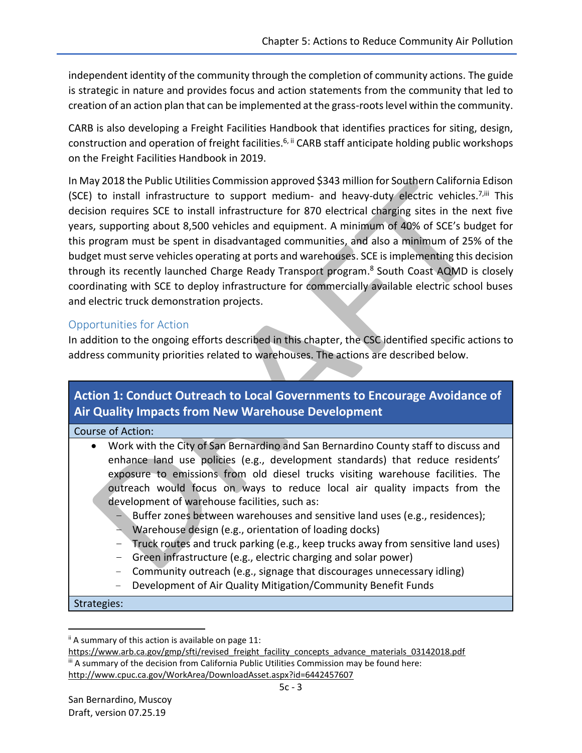independent identity of the community through the completion of community actions. The guide is strategic in nature and provides focus and action statements from the community that led to creation of an action plan that can be implemented at the grass-roots level within the community.

CARB is also developing a Freight Facilities Handbook that identifies practices for siting, design, construction and operation of freight facilities.<sup>6, ii</sup> CARB staff anticipate holding public workshops on the Freight Facilities Handbook in 2019.

In May 2018 the Public Utilities Commission approved \$343 million for Southern California Edison (SCE) to install infrastructure to support medium- and heavy-duty electric vehicles.<sup>7,iii</sup> This decision requires SCE to install infrastructure for 870 electrical charging sites in the next five years, supporting about 8,500 vehicles and equipment. A minimum of 40% of SCE's budget for this program must be spent in disadvantaged communities, and also a minimum of 25% of the budget must serve vehicles operating at ports and warehouses. SCE is implementing this decision through its recently launched Charge Ready Transport program. <sup>8</sup> South Coast AQMD is closely coordinating with SCE to deploy infrastructure for commercially available electric school buses and electric truck demonstration projects.

### Opportunities for Action

In addition to the ongoing efforts described in this chapter, the CSC identified specific actions to address community priorities related to warehouses. The actions are described below.

# **Action 1: Conduct Outreach to Local Governments to Encourage Avoidance of Air Quality Impacts from New Warehouse Development** Course of Action: Work with the City of San Bernardino and San Bernardino County staff to discuss and enhance land use policies (e.g., development standards) that reduce residents' exposure to emissions from old diesel trucks visiting warehouse facilities. The outreach would focus on ways to reduce local air quality impacts from the development of warehouse facilities, such as: – Buffer zones between warehouses and sensitive land uses (e.g., residences); – Warehouse design (e.g., orientation of loading docks)

- Truck routes and truck parking (e.g., keep trucks away from sensitive land uses)
- Green infrastructure (e.g., electric charging and solar power)
- Community outreach (e.g., signage that discourages unnecessary idling)
- Development of Air Quality Mitigation/Community Benefit Funds

Strategies:

 $\overline{\phantom{a}}$ 

 $\mathbf{u}$  A summary of this action is available on page 11:

[https://www.arb.ca.gov/gmp/sfti/revised\\_freight\\_facility\\_concepts\\_advance\\_materials\\_03142018.pdf](https://www.arb.ca.gov/gmp/sfti/revised_freight_facility_concepts_advance_materials_03142018.pdf) iii A summary of the decision from California Public Utilities Commission may be found here: <http://www.cpuc.ca.gov/WorkArea/DownloadAsset.aspx?id=6442457607>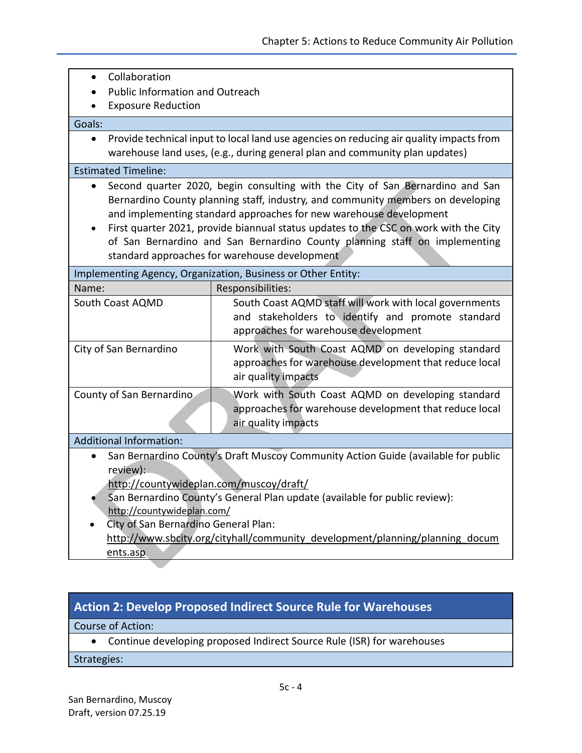- Collaboration
- Public Information and Outreach
- Exposure Reduction

#### Goals:

 Provide technical input to local land use agencies on reducing air quality impacts from warehouse land uses, (e.g., during general plan and community plan updates)

#### Estimated Timeline:

- Second quarter 2020, begin consulting with the City of San Bernardino and San Bernardino County planning staff, industry, and community members on developing and implementing standard approaches for new warehouse development
- First quarter 2021, provide biannual status updates to the CSC on work with the City of San Bernardino and San Bernardino County planning staff on implementing standard approaches for warehouse development

| Implementing Agency, Organization, Business or Other Entity: |                                                                                                                                                      |
|--------------------------------------------------------------|------------------------------------------------------------------------------------------------------------------------------------------------------|
| Name:                                                        | Responsibilities:                                                                                                                                    |
| South Coast AQMD                                             | South Coast AQMD staff will work with local governments<br>and stakeholders to identify and promote standard<br>approaches for warehouse development |
| City of San Bernardino                                       | Work with South Coast AQMD on developing standard<br>approaches for warehouse development that reduce local<br>air quality impacts                   |
| County of San Bernardino                                     | Work with South Coast AQMD on developing standard<br>approaches for warehouse development that reduce local<br>air quality impacts                   |
| <b>Additional Information:</b>                               |                                                                                                                                                      |

- San Bernardino County's Draft Muscoy Community Action Guide (available for public review):
	- <http://countywideplan.com/muscoy/draft/>
- San Bernardino County's General Plan update (available for public review): <http://countywideplan.com/>
- City of San Bernardino General Plan: http://www.sbcity.org/cityhall/community\_development/planning/planning\_docum ents.asp

### **Action 2: Develop Proposed Indirect Source Rule for Warehouses**

### Course of Action:

Continue developing proposed Indirect Source Rule (ISR) for warehouses

### Strategies: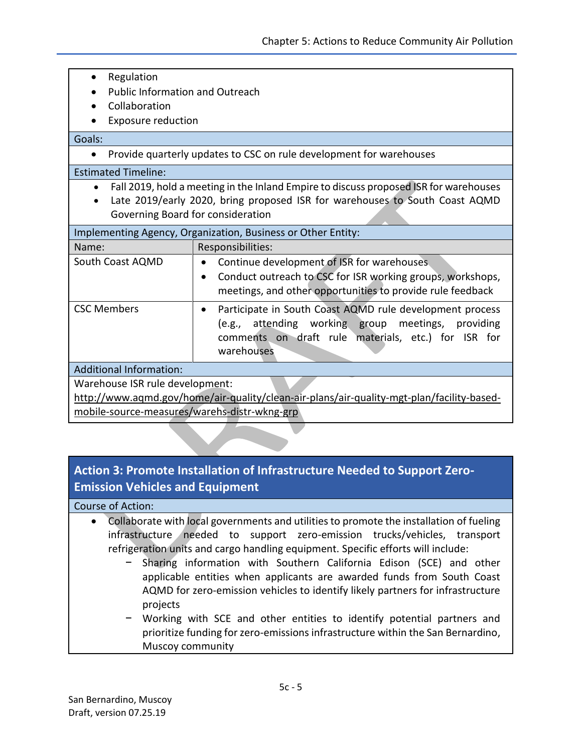- Regulation
- Public Information and Outreach
- Collaboration
- Exposure reduction

Goals:

• Provide quarterly updates to CSC on rule development for warehouses

#### Estimated Timeline:

- Fall 2019, hold a meeting in the Inland Empire to discuss proposed ISR for warehouses
- Late 2019/early 2020, bring proposed ISR for warehouses to South Coast AQMD Governing Board for consideration

| Implementing Agency, Organization, Business or Other Entity: |                                                                                                                                                                                                        |
|--------------------------------------------------------------|--------------------------------------------------------------------------------------------------------------------------------------------------------------------------------------------------------|
| Name:                                                        | Responsibilities:                                                                                                                                                                                      |
| South Coast AQMD                                             | Continue development of ISR for warehouses.<br>$\bullet$<br>Conduct outreach to CSC for ISR working groups, workshops,<br>$\bullet$<br>meetings, and other opportunities to provide rule feedback      |
| <b>CSC Members</b>                                           | Participate in South Coast AQMD rule development process<br>$\bullet$<br>attending working group meetings,<br>providing<br>(e.g.,<br>comments on draft rule materials, etc.) for ISR for<br>warehouses |
| <b>Additional Information:</b>                               |                                                                                                                                                                                                        |
| Warehouse ISR rule development:                              |                                                                                                                                                                                                        |

[http://www.aqmd.gov/home/air-quality/clean-air-plans/air-quality-mgt-plan/facility-based](http://www.aqmd.gov/home/air-quality/clean-air-plans/air-quality-mgt-plan/facility-based-mobile-source-measures/warehs-distr-wkng-grp)[mobile-source-measures/warehs-distr-wkng-grp](http://www.aqmd.gov/home/air-quality/clean-air-plans/air-quality-mgt-plan/facility-based-mobile-source-measures/warehs-distr-wkng-grp)

## **Action 3: Promote Installation of Infrastructure Needed to Support Zero-Emission Vehicles and Equipment**

### Course of Action:

- Collaborate with local governments and utilities to promote the installation of fueling infrastructure needed to support zero-emission trucks/vehicles, transport refrigeration units and cargo handling equipment. Specific efforts will include:
	- − Sharing information with Southern California Edison (SCE) and other applicable entities when applicants are awarded funds from South Coast AQMD for zero-emission vehicles to identify likely partners for infrastructure projects
	- − Working with SCE and other entities to identify potential partners and prioritize funding for zero-emissions infrastructure within the San Bernardino, Muscoy community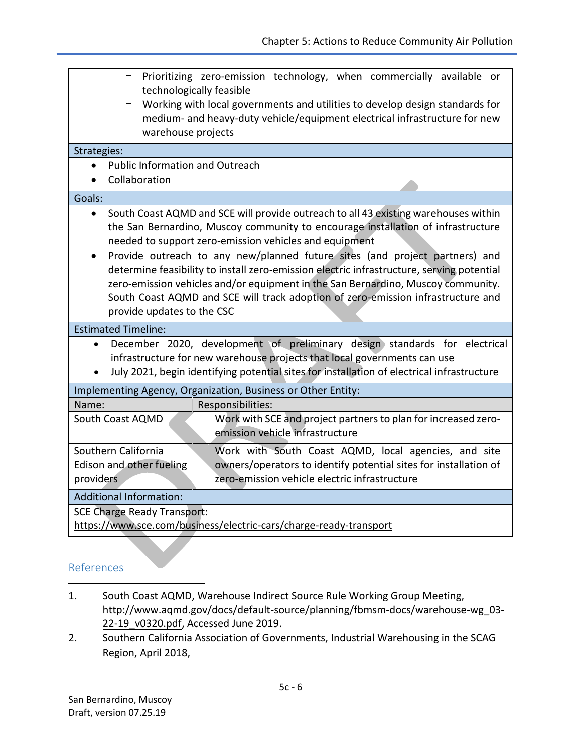| Prioritizing zero-emission technology, when commercially available or<br>technologically feasible<br>Working with local governments and utilities to develop design standards for<br>medium- and heavy-duty vehicle/equipment electrical infrastructure for new<br>warehouse projects                                                                                                                                                                                                                                                                                                                                            |  |  |
|----------------------------------------------------------------------------------------------------------------------------------------------------------------------------------------------------------------------------------------------------------------------------------------------------------------------------------------------------------------------------------------------------------------------------------------------------------------------------------------------------------------------------------------------------------------------------------------------------------------------------------|--|--|
| Strategies:                                                                                                                                                                                                                                                                                                                                                                                                                                                                                                                                                                                                                      |  |  |
| <b>Public Information and Outreach</b>                                                                                                                                                                                                                                                                                                                                                                                                                                                                                                                                                                                           |  |  |
| Collaboration                                                                                                                                                                                                                                                                                                                                                                                                                                                                                                                                                                                                                    |  |  |
| Goals:                                                                                                                                                                                                                                                                                                                                                                                                                                                                                                                                                                                                                           |  |  |
| South Coast AQMD and SCE will provide outreach to all 43 existing warehouses within<br>$\bullet$<br>the San Bernardino, Muscoy community to encourage installation of infrastructure<br>needed to support zero-emission vehicles and equipment<br>Provide outreach to any new/planned future sites (and project partners) and<br>determine feasibility to install zero-emission electric infrastructure, serving potential<br>zero-emission vehicles and/or equipment in the San Bernardino, Muscoy community.<br>South Coast AQMD and SCE will track adoption of zero-emission infrastructure and<br>provide updates to the CSC |  |  |
| <b>Estimated Timeline:</b>                                                                                                                                                                                                                                                                                                                                                                                                                                                                                                                                                                                                       |  |  |
| December 2020, development of preliminary design standards for electrical<br>$\bullet$<br>infrastructure for new warehouse projects that local governments can use<br>July 2021, begin identifying potential sites for installation of electrical infrastructure                                                                                                                                                                                                                                                                                                                                                                 |  |  |
| Implementing Agency, Organization, Business or Other Entity:                                                                                                                                                                                                                                                                                                                                                                                                                                                                                                                                                                     |  |  |
| Responsibilities:<br>Name:                                                                                                                                                                                                                                                                                                                                                                                                                                                                                                                                                                                                       |  |  |
| Work with SCE and project partners to plan for increased zero-<br>South Coast AQMD<br>emission vehicle infrastructure                                                                                                                                                                                                                                                                                                                                                                                                                                                                                                            |  |  |
| Southern California<br>Work with South Coast AQMD, local agencies, and site<br>owners/operators to identify potential sites for installation of<br>Edison and other fueling<br>zero-emission vehicle electric infrastructure<br>providers                                                                                                                                                                                                                                                                                                                                                                                        |  |  |
| <b>Additional Information:</b>                                                                                                                                                                                                                                                                                                                                                                                                                                                                                                                                                                                                   |  |  |
| <b>SCE Charge Ready Transport:</b><br>https://www.sce.com/business/electric-cars/charge-ready-transport                                                                                                                                                                                                                                                                                                                                                                                                                                                                                                                          |  |  |

# References

 $\overline{a}$ 

- 1. South Coast AQMD, Warehouse Indirect Source Rule Working Group Meeting, http://www.aqmd.gov/docs/default-source/planning/fbmsm-docs/warehouse-wg\_03- 22-19\_v0320.pdf, Accessed June 2019.
- 2. Southern California Association of Governments, Industrial Warehousing in the SCAG Region, April 2018,